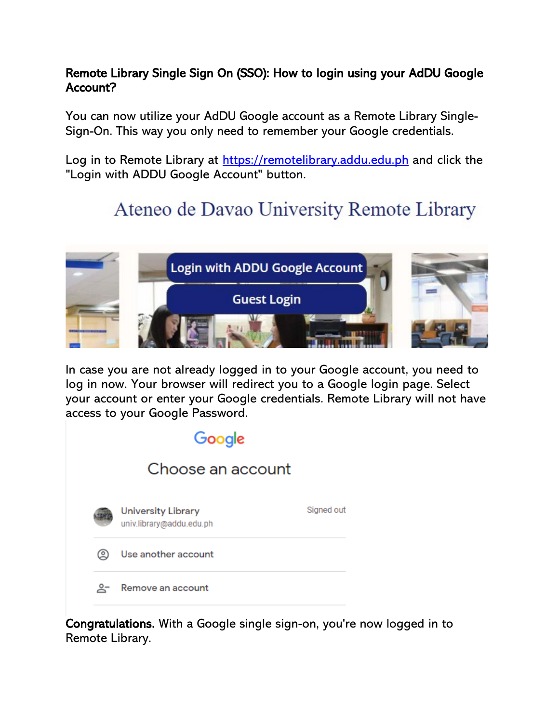## Remote Library Single Sign On (SSO): How to login using your AdDU Google Account?

You can now utilize your AdDU Google account as a Remote Library Single-Sign-On. This way you only need to remember your Google credentials.

Log in to Remote Library at [https://remotelibrary.addu.edu.ph](https://remotelibrary.addu.edu.ph/) and click the "Login with ADDU Google Account" button.

## Ateneo de Davao University Remote Library



In case you are not already logged in to your Google account, you need to log in now. Your browser will redirect you to a Google login page. Select your account or enter your Google credentials. Remote Library will not have access to your Google Password.

| Google |                   |                                                       |            |  |  |  |
|--------|-------------------|-------------------------------------------------------|------------|--|--|--|
|        | Choose an account |                                                       |            |  |  |  |
|        |                   | <b>University Library</b><br>univ.library@addu.edu.ph | Signed out |  |  |  |
|        | @                 | Use another account                                   |            |  |  |  |
|        | $\overline{Q}$ –  | Remove an account                                     |            |  |  |  |

Congratulations. With a Google single sign-on, you're now logged in to Remote Library.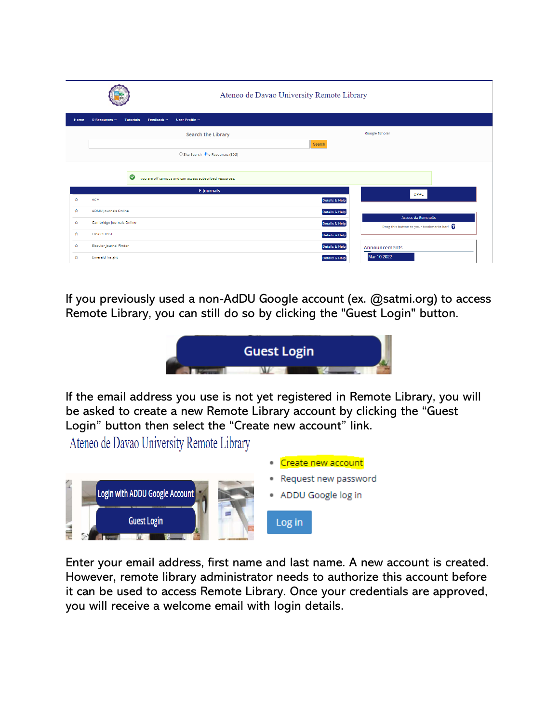|      |                                                      |                                                         | Ateneo de Davao University Remote Library |                                         |  |
|------|------------------------------------------------------|---------------------------------------------------------|-------------------------------------------|-----------------------------------------|--|
| Home | E-Resources ~<br><b>Tutorials</b><br>Feedback $\sim$ | User Profile ~                                          |                                           |                                         |  |
|      |                                                      | <b>Search the Library</b>                               | Search                                    | Google Scholar                          |  |
|      |                                                      | O Site Search <sup>@</sup> e-Resources (EDS)            |                                           |                                         |  |
|      | $\bullet$                                            | you are off campus and can access subscribed resources. |                                           |                                         |  |
|      |                                                      | E-journals                                              |                                           | OPAC                                    |  |
| ŵ    | <b>ACM</b>                                           |                                                         | Details & Help                            |                                         |  |
| 會    | <b>ADMU Journals Online</b>                          |                                                         | <b>Details &amp; Help</b>                 | <b>Access via RemoteXs</b>              |  |
| ŵ    | Cambridge Journals Online                            |                                                         | <b>Details &amp; Help</b>                 | Drag this button to your bookmarks bar! |  |
| 會    | <b>EBSCOHOST</b>                                     |                                                         | <b>Details &amp; Help</b>                 |                                         |  |
| 奁    | Elsevier Journal Finder                              |                                                         | <b>Details &amp; Help</b>                 | <b>Announcements</b>                    |  |
| ☆    | <b>Emerald Insight</b>                               |                                                         | <b>Details &amp; Help</b>                 | Mar 10 2022                             |  |

If you previously used a non-AdDU Google account (ex. @satmi.org) to access Remote Library, you can still do so by clicking the "Guest Login" button.



If the email address you use is not yet registered in Remote Library, you will be asked to create a new Remote Library account by clicking the "Guest Login" button then select the "Create new account" link.

Ateneo de Davao University Remote Library



Enter your email address, first name and last name. A new account is created. However, remote library administrator needs to authorize this account before it can be used to access Remote Library. Once your credentials are approved, you will receive a welcome email with login details.